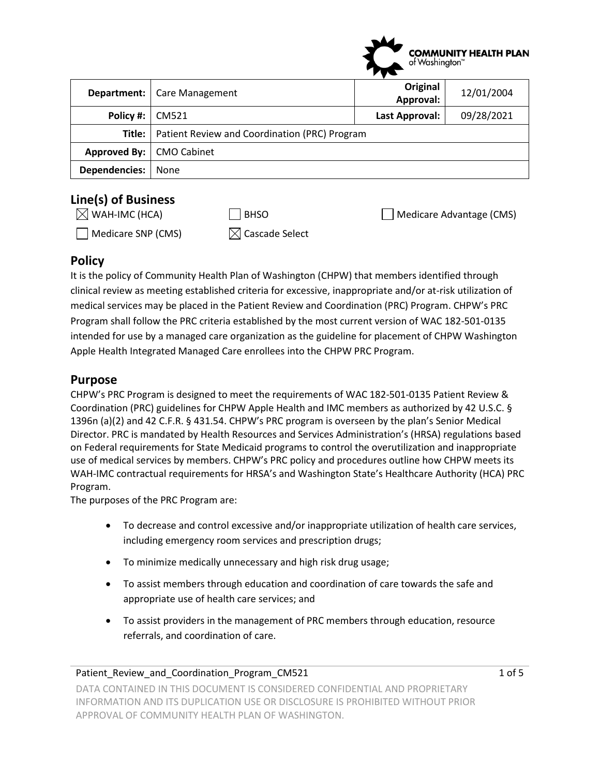

|                            | <b>Department:</b>   Care Management          | Original<br>Approval: | 12/01/2004 |
|----------------------------|-----------------------------------------------|-----------------------|------------|
| Policy #:                  | CM521                                         | Last Approval:        | 09/28/2021 |
| Title:                     | Patient Review and Coordination (PRC) Program |                       |            |
| Approved By:   CMO Cabinet |                                               |                       |            |
| <b>Dependencies:</b>       | None                                          |                       |            |

# **Line(s) of Business**

| $[<]$ WAH-IMC (HCA) |  |
|---------------------|--|
|                     |  |

 $\Box$  Medicare SNP (CMS)  $\boxtimes$  Cascade Select

 $\Box$  BHSO  $\Box$  Medicare Advantage (CMS)

# **Policy**

It is the policy of Community Health Plan of Washington (CHPW) that members identified through clinical review as meeting established criteria for excessive, inappropriate and/or at-risk utilization of medical services may be placed in the Patient Review and Coordination (PRC) Program. CHPW's PRC Program shall follow the PRC criteria established by the most current version of WAC 182-501-0135 intended for use by a managed care organization as the guideline for placement of CHPW Washington Apple Health Integrated Managed Care enrollees into the CHPW PRC Program.

### **Purpose**

CHPW's PRC Program is designed to meet the requirements of WAC 182-501-0135 Patient Review & Coordination (PRC) guidelines for CHPW Apple Health and IMC members as authorized by 42 U.S.C. § 1396n (a)(2) and 42 C.F.R. § 431.54. CHPW's PRC program is overseen by the plan's Senior Medical Director. PRC is mandated by Health Resources and Services Administration's (HRSA) regulations based on Federal requirements for State Medicaid programs to control the overutilization and inappropriate use of medical services by members. CHPW's PRC policy and procedures outline how CHPW meets its WAH-IMC contractual requirements for HRSA's and Washington State's Healthcare Authority (HCA) PRC Program.

The purposes of the PRC Program are:

- To decrease and control excessive and/or inappropriate utilization of health care services, including emergency room services and prescription drugs;
- To minimize medically unnecessary and high risk drug usage;
- To assist members through education and coordination of care towards the safe and appropriate use of health care services; and
- To assist providers in the management of PRC members through education, resource referrals, and coordination of care.

#### Patient\_Review\_and\_Coordination\_Program\_CM521 1 1 01 1 06 5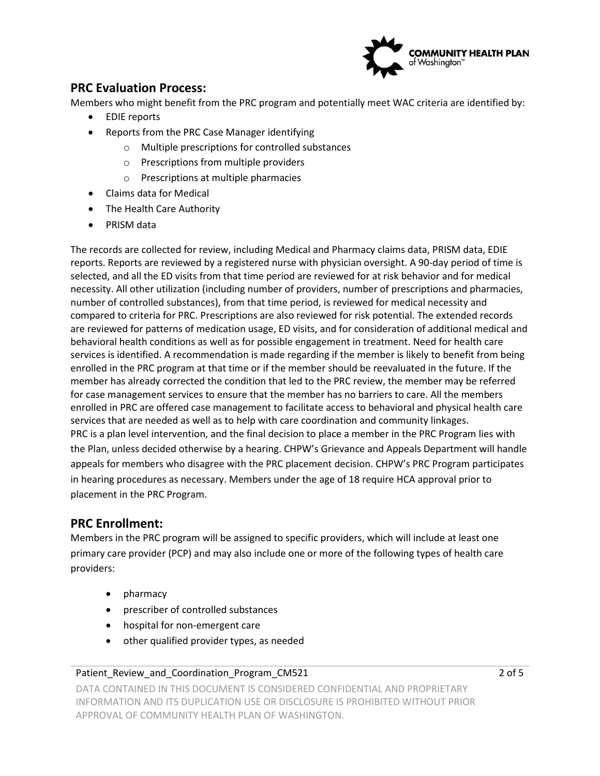

### **PRC Evaluation Process:**

Members who might benefit from the PRC program and potentially meet WAC criteria are identified by:

- EDIE reports
- Reports from the PRC Case Manager identifying
	- o Multiple prescriptions for controlled substances
	- o Prescriptions from multiple providers
	- o Prescriptions at multiple pharmacies
- Claims data for Medical
- The Health Care Authority
- PRISM data

The records are collected for review, including Medical and Pharmacy claims data, PRISM data, EDIE reports. Reports are reviewed by a registered nurse with physician oversight. A 90-day period of time is selected, and all the ED visits from that time period are reviewed for at risk behavior and for medical necessity. All other utilization (including number of providers, number of prescriptions and pharmacies, number of controlled substances), from that time period, is reviewed for medical necessity and compared to criteria for PRC. Prescriptions are also reviewed for risk potential. The extended records are reviewed for patterns of medication usage, ED visits, and for consideration of additional medical and behavioral health conditions as well as for possible engagement in treatment. Need for health care services is identified. A recommendation is made regarding if the member is likely to benefit from being enrolled in the PRC program at that time or if the member should be reevaluated in the future. If the member has already corrected the condition that led to the PRC review, the member may be referred for case management services to ensure that the member has no barriers to care. All the members enrolled in PRC are offered case management to facilitate access to behavioral and physical health care services that are needed as well as to help with care coordination and community linkages. PRC is a plan level intervention, and the final decision to place a member in the PRC Program lies with the Plan, unless decided otherwise by a hearing. CHPW's Grievance and Appeals Department will handle appeals for members who disagree with the PRC placement decision. CHPW's PRC Program participates in hearing procedures as necessary. Members under the age of 18 require HCA approval prior to placement in the PRC Program.

### **PRC Enrollment:**

Members in the PRC program will be assigned to specific providers, which will include at least one primary care provider (PCP) and may also include one or more of the following types of health care providers:

- pharmacy
- prescriber of controlled substances
- hospital for non-emergent care
- other qualified provider types, as needed

#### Patient\_Review\_and\_Coordination\_Program\_CM521 2 of 5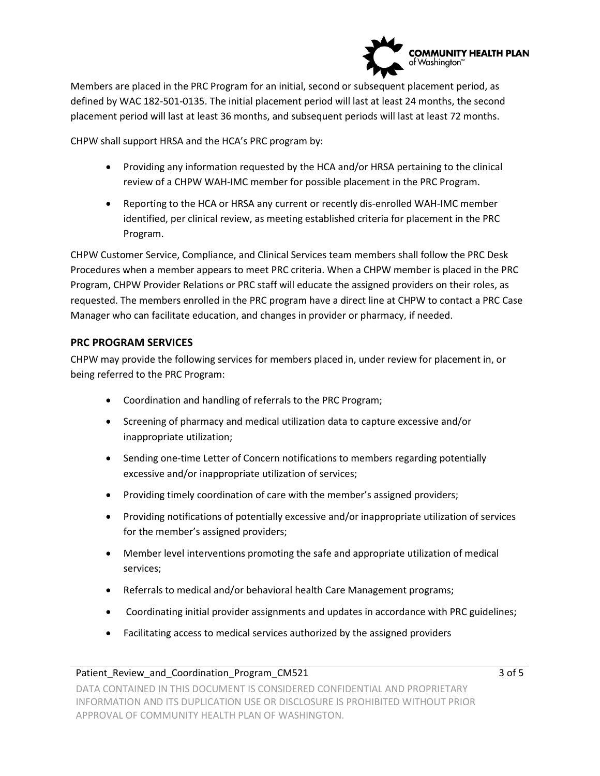

Members are placed in the PRC Program for an initial, second or subsequent placement period, as defined by WAC 182-501-0135. The initial placement period will last at least 24 months, the second placement period will last at least 36 months, and subsequent periods will last at least 72 months.

CHPW shall support HRSA and the HCA's PRC program by:

- Providing any information requested by the HCA and/or HRSA pertaining to the clinical review of a CHPW WAH-IMC member for possible placement in the PRC Program.
- Reporting to the HCA or HRSA any current or recently dis-enrolled WAH-IMC member identified, per clinical review, as meeting established criteria for placement in the PRC Program.

CHPW Customer Service, Compliance, and Clinical Services team members shall follow the PRC Desk Procedures when a member appears to meet PRC criteria. When a CHPW member is placed in the PRC Program, CHPW Provider Relations or PRC staff will educate the assigned providers on their roles, as requested. The members enrolled in the PRC program have a direct line at CHPW to contact a PRC Case Manager who can facilitate education, and changes in provider or pharmacy, if needed.

#### **PRC PROGRAM SERVICES**

CHPW may provide the following services for members placed in, under review for placement in, or being referred to the PRC Program:

- Coordination and handling of referrals to the PRC Program;
- Screening of pharmacy and medical utilization data to capture excessive and/or inappropriate utilization;
- Sending one-time Letter of Concern notifications to members regarding potentially excessive and/or inappropriate utilization of services;
- Providing timely coordination of care with the member's assigned providers;
- Providing notifications of potentially excessive and/or inappropriate utilization of services for the member's assigned providers;
- Member level interventions promoting the safe and appropriate utilization of medical services;
- Referrals to medical and/or behavioral health Care Management programs;
- Coordinating initial provider assignments and updates in accordance with PRC guidelines;
- Facilitating access to medical services authorized by the assigned providers

#### Patient\_Review\_and\_Coordination\_Program\_CM521 3 of 5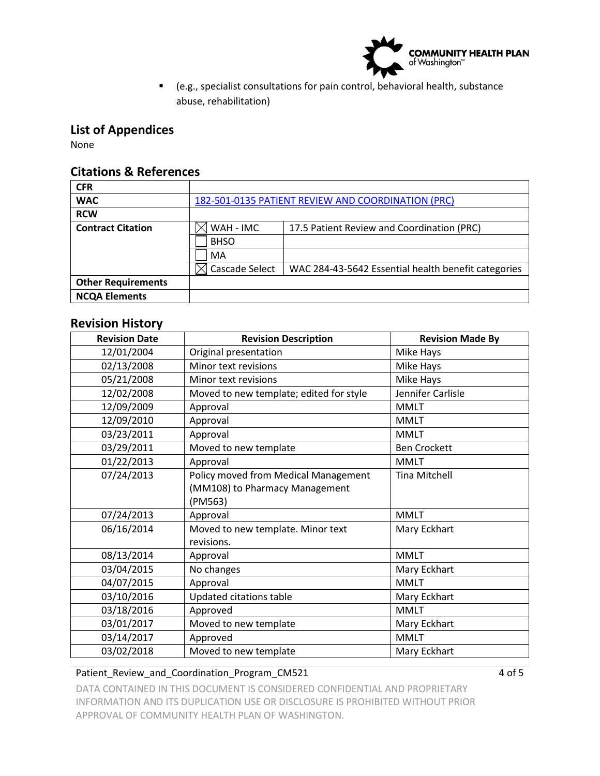

 (e.g., specialist consultations for pain control, behavioral health, substance abuse, rehabilitation)

## **List of Appendices**

None

### **Citations & References**

| <b>CFR</b>                |                                                    |                                                     |  |
|---------------------------|----------------------------------------------------|-----------------------------------------------------|--|
| <b>WAC</b>                | 182-501-0135 PATIENT REVIEW AND COORDINATION (PRC) |                                                     |  |
| <b>RCW</b>                |                                                    |                                                     |  |
| <b>Contract Citation</b>  | WAH - IMC                                          | 17.5 Patient Review and Coordination (PRC)          |  |
|                           | <b>BHSO</b>                                        |                                                     |  |
|                           | MA                                                 |                                                     |  |
|                           | Cascade Select                                     | WAC 284-43-5642 Essential health benefit categories |  |
| <b>Other Requirements</b> |                                                    |                                                     |  |
| <b>NCQA Elements</b>      |                                                    |                                                     |  |

### **Revision History**

| <b>Revision Date</b> | <b>Revision Description</b>             | <b>Revision Made By</b> |
|----------------------|-----------------------------------------|-------------------------|
| 12/01/2004           | Original presentation                   | Mike Hays               |
| 02/13/2008           | Minor text revisions                    | Mike Hays               |
| 05/21/2008           | Minor text revisions                    | Mike Hays               |
| 12/02/2008           | Moved to new template; edited for style | Jennifer Carlisle       |
| 12/09/2009           | Approval                                | <b>MMLT</b>             |
| 12/09/2010           | Approval                                | <b>MMLT</b>             |
| 03/23/2011           | Approval                                | <b>MMLT</b>             |
| 03/29/2011           | Moved to new template                   | <b>Ben Crockett</b>     |
| 01/22/2013           | Approval                                | <b>MMLT</b>             |
| 07/24/2013           | Policy moved from Medical Management    | <b>Tina Mitchell</b>    |
|                      | (MM108) to Pharmacy Management          |                         |
|                      | (PM563)                                 |                         |
| 07/24/2013           | Approval                                | <b>MMLT</b>             |
| 06/16/2014           | Moved to new template. Minor text       | Mary Eckhart            |
|                      | revisions.                              |                         |
| 08/13/2014           | Approval                                | <b>MMLT</b>             |
| 03/04/2015           | No changes                              | Mary Eckhart            |
| 04/07/2015           | Approval                                | <b>MMLT</b>             |
| 03/10/2016           | Updated citations table                 | Mary Eckhart            |
| 03/18/2016           | Approved                                | <b>MMLT</b>             |
| 03/01/2017           | Moved to new template                   | Mary Eckhart            |
| 03/14/2017           | Approved                                | <b>MMLT</b>             |
| 03/02/2018           | Moved to new template                   | Mary Eckhart            |

#### Patient\_Review\_and\_Coordination\_Program\_CM521 4 of 5